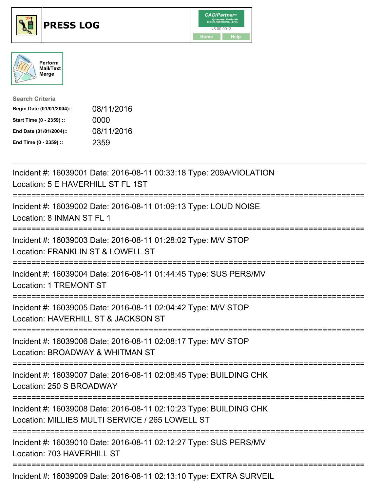





| <b>Search Criteria</b>    |            |
|---------------------------|------------|
| Begin Date (01/01/2004):: | 08/11/2016 |
| Start Time (0 - 2359) ::  | 0000       |
| End Date (01/01/2004)::   | 08/11/2016 |
| End Time (0 - 2359) ::    | 2359       |

| Incident #: 16039001 Date: 2016-08-11 00:33:18 Type: 209A/VIOLATION<br>Location: 5 E HAVERHILL ST FL 1ST                                                                                                                                                                                                 |
|----------------------------------------------------------------------------------------------------------------------------------------------------------------------------------------------------------------------------------------------------------------------------------------------------------|
| Incident #: 16039002 Date: 2016-08-11 01:09:13 Type: LOUD NOISE<br>Location: 8 INMAN ST FL 1<br>-------------------------------------<br>-------------------                                                                                                                                             |
| Incident #: 16039003 Date: 2016-08-11 01:28:02 Type: M/V STOP<br>Location: FRANKLIN ST & LOWELL ST<br>======================                                                                                                                                                                             |
| Incident #: 16039004 Date: 2016-08-11 01:44:45 Type: SUS PERS/MV<br><b>Location: 1 TREMONT ST</b>                                                                                                                                                                                                        |
| Incident #: 16039005 Date: 2016-08-11 02:04:42 Type: M/V STOP<br>Location: HAVERHILL ST & JACKSON ST                                                                                                                                                                                                     |
| Incident #: 16039006 Date: 2016-08-11 02:08:17 Type: M/V STOP<br>Location: BROADWAY & WHITMAN ST<br>:=====================                                                                                                                                                                               |
| Incident #: 16039007 Date: 2016-08-11 02:08:45 Type: BUILDING CHK<br>Location: 250 S BROADWAY<br>-------------                                                                                                                                                                                           |
| Incident #: 16039008 Date: 2016-08-11 02:10:23 Type: BUILDING CHK<br>Location: MILLIES MULTI SERVICE / 265 LOWELL ST                                                                                                                                                                                     |
| Incident #: 16039010 Date: 2016-08-11 02:12:27 Type: SUS PERS/MV<br>Location: 703 HAVERHILL ST                                                                                                                                                                                                           |
| $\mathbf{r}$ , $\mathbf{u}$ , and $\mathbf{r}$ , and $\mathbf{r}$ , and $\mathbf{r}$ , $\mathbf{r}$ , $\mathbf{r}$ , $\mathbf{r}$ , $\mathbf{r}$ , $\mathbf{r}$ , $\mathbf{r}$ , $\mathbf{r}$ , $\mathbf{r}$ , $\mathbf{r}$ , $\mathbf{r}$ , $\mathbf{r}$ , $\mathbf{r}$ , $\mathbf{r}$ , $\mathbf{r}$ , |

Incident #: 16039009 Date: 2016-08-11 02:13:10 Type: EXTRA SURVEIL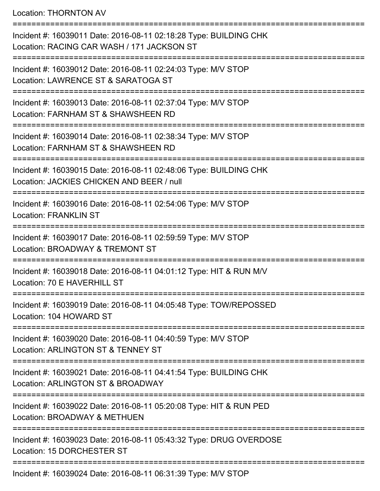Location: THORNTON AV

=========================================================================== Incident #: 16039011 Date: 2016-08-11 02:18:28 Type: BUILDING CHK Location: RACING CAR WASH / 171 JACKSON ST =========================================================================== Incident #: 16039012 Date: 2016-08-11 02:24:03 Type: M/V STOP Location: LAWRENCE ST & SARATOGA ST =========================================================================== Incident #: 16039013 Date: 2016-08-11 02:37:04 Type: M/V STOP Location: FARNHAM ST & SHAWSHEEN RD =========================================================================== Incident #: 16039014 Date: 2016-08-11 02:38:34 Type: M/V STOP Location: FARNHAM ST & SHAWSHEEN RD =========================================================================== Incident #: 16039015 Date: 2016-08-11 02:48:06 Type: BUILDING CHK Location: JACKIES CHICKEN AND BEER / null =========================================================================== Incident #: 16039016 Date: 2016-08-11 02:54:06 Type: M/V STOP Location: FRANKLIN ST =========================================================================== Incident #: 16039017 Date: 2016-08-11 02:59:59 Type: M/V STOP Location: BROADWAY & TREMONT ST =========================================================================== Incident #: 16039018 Date: 2016-08-11 04:01:12 Type: HIT & RUN M/V Location: 70 E HAVERHILL ST =========================================================================== Incident #: 16039019 Date: 2016-08-11 04:05:48 Type: TOW/REPOSSED Location: 104 HOWARD ST =========================================================================== Incident #: 16039020 Date: 2016-08-11 04:40:59 Type: M/V STOP Location: ARLINGTON ST & TENNEY ST =========================================================================== Incident #: 16039021 Date: 2016-08-11 04:41:54 Type: BUILDING CHK Location: ARLINGTON ST & BROADWAY =========================================================================== Incident #: 16039022 Date: 2016-08-11 05:20:08 Type: HIT & RUN PED Location: BROADWAY & METHUEN =========================================================================== Incident #: 16039023 Date: 2016-08-11 05:43:32 Type: DRUG OVERDOSE Location: 15 DORCHESTER ST =========================================================================== Incident #: 16039024 Date: 2016-08-11 06:31:39 Type: M/V STOP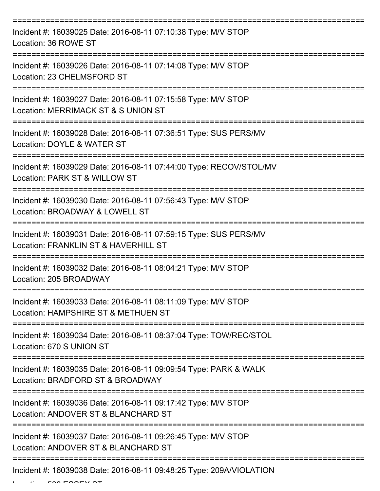| Incident #: 16039025 Date: 2016-08-11 07:10:38 Type: M/V STOP<br>Location: 36 ROWE ST                             |
|-------------------------------------------------------------------------------------------------------------------|
| Incident #: 16039026 Date: 2016-08-11 07:14:08 Type: M/V STOP<br>Location: 23 CHELMSFORD ST                       |
| Incident #: 16039027 Date: 2016-08-11 07:15:58 Type: M/V STOP<br>Location: MERRIMACK ST & S UNION ST<br>--------- |
| Incident #: 16039028 Date: 2016-08-11 07:36:51 Type: SUS PERS/MV<br>Location: DOYLE & WATER ST                    |
| Incident #: 16039029 Date: 2016-08-11 07:44:00 Type: RECOV/STOL/MV<br>Location: PARK ST & WILLOW ST               |
| Incident #: 16039030 Date: 2016-08-11 07:56:43 Type: M/V STOP<br>Location: BROADWAY & LOWELL ST                   |
| Incident #: 16039031 Date: 2016-08-11 07:59:15 Type: SUS PERS/MV<br>Location: FRANKLIN ST & HAVERHILL ST          |
| Incident #: 16039032 Date: 2016-08-11 08:04:21 Type: M/V STOP<br>Location: 205 BROADWAY                           |
| Incident #: 16039033 Date: 2016-08-11 08:11:09 Type: M/V STOP<br>Location: HAMPSHIRE ST & METHUEN ST              |
| Incident #: 16039034 Date: 2016-08-11 08:37:04 Type: TOW/REC/STOL<br>Location: 670 S UNION ST                     |
| Incident #: 16039035 Date: 2016-08-11 09:09:54 Type: PARK & WALK<br>Location: BRADFORD ST & BROADWAY              |
| Incident #: 16039036 Date: 2016-08-11 09:17:42 Type: M/V STOP<br>Location: ANDOVER ST & BLANCHARD ST              |
| Incident #: 16039037 Date: 2016-08-11 09:26:45 Type: M/V STOP<br>Location: ANDOVER ST & BLANCHARD ST              |
| Incident #: 16039038 Date: 2016-08-11 09:48:25 Type: 209A/VIOLATION                                               |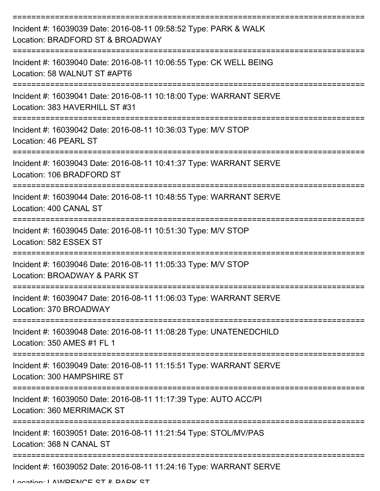| Incident #: 16039039 Date: 2016-08-11 09:58:52 Type: PARK & WALK<br>Location: BRADFORD ST & BROADWAY |
|------------------------------------------------------------------------------------------------------|
| Incident #: 16039040 Date: 2016-08-11 10:06:55 Type: CK WELL BEING<br>Location: 58 WALNUT ST #APT6   |
| Incident #: 16039041 Date: 2016-08-11 10:18:00 Type: WARRANT SERVE<br>Location: 383 HAVERHILL ST #31 |
| Incident #: 16039042 Date: 2016-08-11 10:36:03 Type: M/V STOP<br>Location: 46 PEARL ST               |
| Incident #: 16039043 Date: 2016-08-11 10:41:37 Type: WARRANT SERVE<br>Location: 106 BRADFORD ST      |
| Incident #: 16039044 Date: 2016-08-11 10:48:55 Type: WARRANT SERVE<br>Location: 400 CANAL ST         |
| Incident #: 16039045 Date: 2016-08-11 10:51:30 Type: M/V STOP<br>Location: 582 ESSEX ST              |
| Incident #: 16039046 Date: 2016-08-11 11:05:33 Type: M/V STOP<br>Location: BROADWAY & PARK ST        |
| Incident #: 16039047 Date: 2016-08-11 11:06:03 Type: WARRANT SERVE<br>Location: 370 BROADWAY         |
| Incident #: 16039048 Date: 2016-08-11 11:08:28 Type: UNATENEDCHILD<br>Location: 350 AMES #1 FL 1     |
| Incident #: 16039049 Date: 2016-08-11 11:15:51 Type: WARRANT SERVE<br>Location: 300 HAMPSHIRE ST     |
| Incident #: 16039050 Date: 2016-08-11 11:17:39 Type: AUTO ACC/PI<br>Location: 360 MERRIMACK ST       |
| Incident #: 16039051 Date: 2016-08-11 11:21:54 Type: STOL/MV/PAS<br>Location: 368 N CANAL ST         |
| Incident #: 16039052 Date: 2016-08-11 11:24:16 Type: WARRANT SERVE                                   |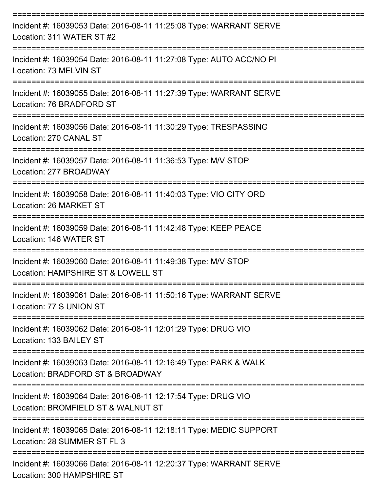| Incident #: 16039053 Date: 2016-08-11 11:25:08 Type: WARRANT SERVE<br>Location: 311 WATER ST #2      |
|------------------------------------------------------------------------------------------------------|
| Incident #: 16039054 Date: 2016-08-11 11:27:08 Type: AUTO ACC/NO PI<br>Location: 73 MELVIN ST        |
| Incident #: 16039055 Date: 2016-08-11 11:27:39 Type: WARRANT SERVE<br>Location: 76 BRADFORD ST       |
| Incident #: 16039056 Date: 2016-08-11 11:30:29 Type: TRESPASSING<br>Location: 270 CANAL ST           |
| Incident #: 16039057 Date: 2016-08-11 11:36:53 Type: M/V STOP<br>Location: 277 BROADWAY              |
| Incident #: 16039058 Date: 2016-08-11 11:40:03 Type: VIO CITY ORD<br>Location: 26 MARKET ST          |
| Incident #: 16039059 Date: 2016-08-11 11:42:48 Type: KEEP PEACE<br>Location: 146 WATER ST            |
| Incident #: 16039060 Date: 2016-08-11 11:49:38 Type: M/V STOP<br>Location: HAMPSHIRE ST & LOWELL ST  |
| Incident #: 16039061 Date: 2016-08-11 11:50:16 Type: WARRANT SERVE<br>Location: 77 S UNION ST        |
| Incident #: 16039062 Date: 2016-08-11 12:01:29 Type: DRUG VIO<br>Location: 133 BAILEY ST             |
| Incident #: 16039063 Date: 2016-08-11 12:16:49 Type: PARK & WALK<br>Location: BRADFORD ST & BROADWAY |
| Incident #: 16039064 Date: 2016-08-11 12:17:54 Type: DRUG VIO<br>Location: BROMFIELD ST & WALNUT ST  |
| Incident #: 16039065 Date: 2016-08-11 12:18:11 Type: MEDIC SUPPORT<br>Location: 28 SUMMER ST FL 3    |
| Incident #: 16039066 Date: 2016-08-11 12:20:37 Type: WARRANT SERVE                                   |

Location: 300 HAMPSHIRE ST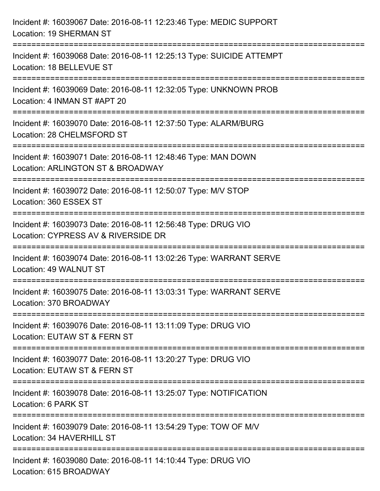| Incident #: 16039067 Date: 2016-08-11 12:23:46 Type: MEDIC SUPPORT<br>Location: 19 SHERMAN ST                                             |
|-------------------------------------------------------------------------------------------------------------------------------------------|
| =====================================<br>Incident #: 16039068 Date: 2016-08-11 12:25:13 Type: SUICIDE ATTEMPT<br>Location: 18 BELLEVUE ST |
| Incident #: 16039069 Date: 2016-08-11 12:32:05 Type: UNKNOWN PROB<br>Location: 4 INMAN ST #APT 20                                         |
| Incident #: 16039070 Date: 2016-08-11 12:37:50 Type: ALARM/BURG<br>Location: 28 CHELMSFORD ST<br>:=====================================   |
| Incident #: 16039071 Date: 2016-08-11 12:48:46 Type: MAN DOWN<br>Location: ARLINGTON ST & BROADWAY                                        |
| Incident #: 16039072 Date: 2016-08-11 12:50:07 Type: M/V STOP<br>Location: 360 ESSEX ST                                                   |
| Incident #: 16039073 Date: 2016-08-11 12:56:48 Type: DRUG VIO<br>Location: CYPRESS AV & RIVERSIDE DR                                      |
| Incident #: 16039074 Date: 2016-08-11 13:02:26 Type: WARRANT SERVE<br>Location: 49 WALNUT ST                                              |
| Incident #: 16039075 Date: 2016-08-11 13:03:31 Type: WARRANT SERVE<br>Location: 370 BROADWAY                                              |
| Incident #: 16039076 Date: 2016-08-11 13:11:09 Type: DRUG VIO<br>Location: EUTAW ST & FERN ST                                             |
| Incident #: 16039077 Date: 2016-08-11 13:20:27 Type: DRUG VIO<br>Location: EUTAW ST & FERN ST                                             |
| Incident #: 16039078 Date: 2016-08-11 13:25:07 Type: NOTIFICATION<br>Location: 6 PARK ST                                                  |
| Incident #: 16039079 Date: 2016-08-11 13:54:29 Type: TOW OF M/V<br>Location: 34 HAVERHILL ST                                              |
| Incident #: 16039080 Date: 2016-08-11 14:10:44 Type: DRUG VIO<br>Location: 615 BROADWAY                                                   |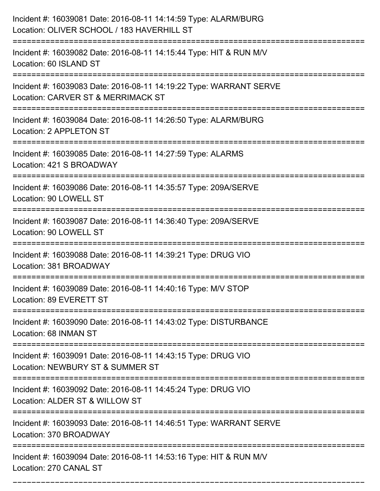| Incident #: 16039081 Date: 2016-08-11 14:14:59 Type: ALARM/BURG<br>Location: OLIVER SCHOOL / 183 HAVERHILL ST                       |
|-------------------------------------------------------------------------------------------------------------------------------------|
| Incident #: 16039082 Date: 2016-08-11 14:15:44 Type: HIT & RUN M/V<br>Location: 60 ISLAND ST                                        |
| Incident #: 16039083 Date: 2016-08-11 14:19:22 Type: WARRANT SERVE<br>Location: CARVER ST & MERRIMACK ST<br>:=====================  |
| Incident #: 16039084 Date: 2016-08-11 14:26:50 Type: ALARM/BURG<br>Location: 2 APPLETON ST                                          |
| Incident #: 16039085 Date: 2016-08-11 14:27:59 Type: ALARMS<br>Location: 421 S BROADWAY                                             |
| Incident #: 16039086 Date: 2016-08-11 14:35:57 Type: 209A/SERVE<br>Location: 90 LOWELL ST                                           |
| Incident #: 16039087 Date: 2016-08-11 14:36:40 Type: 209A/SERVE<br>Location: 90 LOWELL ST                                           |
| Incident #: 16039088 Date: 2016-08-11 14:39:21 Type: DRUG VIO<br>Location: 381 BROADWAY                                             |
| Incident #: 16039089 Date: 2016-08-11 14:40:16 Type: M/V STOP<br>Location: 89 EVERETT ST                                            |
| Incident #: 16039090 Date: 2016-08-11 14:43:02 Type: DISTURBANCE<br>Location: 68 INMAN ST                                           |
| ==============================<br>Incident #: 16039091 Date: 2016-08-11 14:43:15 Type: DRUG VIO<br>Location: NEWBURY ST & SUMMER ST |
| Incident #: 16039092 Date: 2016-08-11 14:45:24 Type: DRUG VIO<br>Location: ALDER ST & WILLOW ST                                     |
| ====================<br>Incident #: 16039093 Date: 2016-08-11 14:46:51 Type: WARRANT SERVE<br>Location: 370 BROADWAY                |
| Incident #: 16039094 Date: 2016-08-11 14:53:16 Type: HIT & RUN M/V<br>Location: 270 CANAL ST                                        |

===========================================================================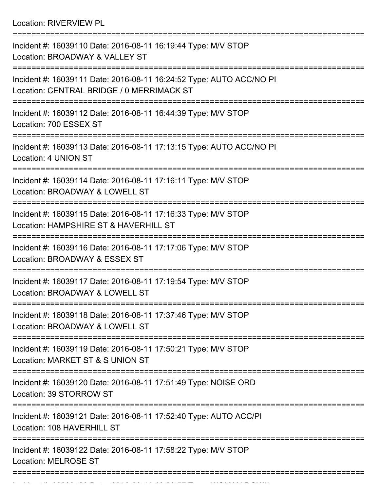Location: RIVERVIEW PL

| Incident #: 16039110 Date: 2016-08-11 16:19:44 Type: M/V STOP<br>Location: BROADWAY & VALLEY ST                  |
|------------------------------------------------------------------------------------------------------------------|
| Incident #: 16039111 Date: 2016-08-11 16:24:52 Type: AUTO ACC/NO PI<br>Location: CENTRAL BRIDGE / 0 MERRIMACK ST |
| Incident #: 16039112 Date: 2016-08-11 16:44:39 Type: M/V STOP<br>Location: 700 ESSEX ST                          |
| Incident #: 16039113 Date: 2016-08-11 17:13:15 Type: AUTO ACC/NO PI<br>Location: 4 UNION ST                      |
| Incident #: 16039114 Date: 2016-08-11 17:16:11 Type: M/V STOP<br>Location: BROADWAY & LOWELL ST                  |
| Incident #: 16039115 Date: 2016-08-11 17:16:33 Type: M/V STOP<br>Location: HAMPSHIRE ST & HAVERHILL ST           |
| Incident #: 16039116 Date: 2016-08-11 17:17:06 Type: M/V STOP<br>Location: BROADWAY & ESSEX ST                   |
| Incident #: 16039117 Date: 2016-08-11 17:19:54 Type: M/V STOP<br>Location: BROADWAY & LOWELL ST                  |
| Incident #: 16039118 Date: 2016-08-11 17:37:46 Type: M/V STOP<br>Location: BROADWAY & LOWELL ST                  |
| Incident #: 16039119 Date: 2016-08-11 17:50:21 Type: M/V STOP<br>Location: MARKET ST & S UNION ST                |
| Incident #: 16039120 Date: 2016-08-11 17:51:49 Type: NOISE ORD<br>Location: 39 STORROW ST                        |
| Incident #: 16039121 Date: 2016-08-11 17:52:40 Type: AUTO ACC/PI<br>Location: 108 HAVERHILL ST                   |
| Incident #: 16039122 Date: 2016-08-11 17:58:22 Type: M/V STOP<br><b>Location: MELROSE ST</b>                     |
|                                                                                                                  |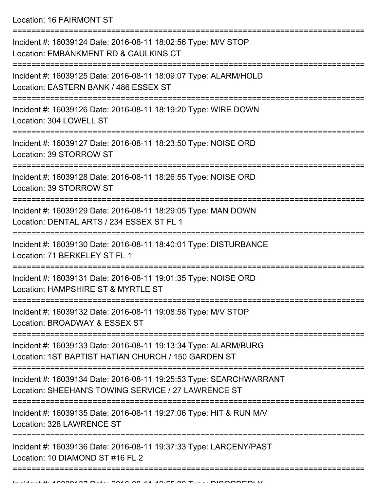Location: 16 FAIRMONT ST

| Incident #: 16039124 Date: 2016-08-11 18:02:56 Type: M/V STOP<br>Location: EMBANKMENT RD & CAULKINS CT                    |
|---------------------------------------------------------------------------------------------------------------------------|
| Incident #: 16039125 Date: 2016-08-11 18:09:07 Type: ALARM/HOLD<br>Location: EASTERN BANK / 486 ESSEX ST                  |
| Incident #: 16039126 Date: 2016-08-11 18:19:20 Type: WIRE DOWN<br>Location: 304 LOWELL ST                                 |
| Incident #: 16039127 Date: 2016-08-11 18:23:50 Type: NOISE ORD<br>Location: 39 STORROW ST                                 |
| Incident #: 16039128 Date: 2016-08-11 18:26:55 Type: NOISE ORD<br>Location: 39 STORROW ST                                 |
| Incident #: 16039129 Date: 2016-08-11 18:29:05 Type: MAN DOWN<br>Location: DENTAL ARTS / 234 ESSEX ST FL 1                |
| Incident #: 16039130 Date: 2016-08-11 18:40:01 Type: DISTURBANCE<br>Location: 71 BERKELEY ST FL 1                         |
| Incident #: 16039131 Date: 2016-08-11 19:01:35 Type: NOISE ORD<br>Location: HAMPSHIRE ST & MYRTLE ST                      |
| Incident #: 16039132 Date: 2016-08-11 19:08:58 Type: M/V STOP<br>Location: BROADWAY & ESSEX ST                            |
| Incident #: 16039133 Date: 2016-08-11 19:13:34 Type: ALARM/BURG<br>Location: 1ST BAPTIST HATIAN CHURCH / 150 GARDEN ST    |
| Incident #: 16039134 Date: 2016-08-11 19:25:53 Type: SEARCHWARRANT<br>Location: SHEEHAN'S TOWING SERVICE / 27 LAWRENCE ST |
| Incident #: 16039135 Date: 2016-08-11 19:27:06 Type: HIT & RUN M/V<br>Location: 328 LAWRENCE ST                           |
| Incident #: 16039136 Date: 2016-08-11 19:37:33 Type: LARCENY/PAST<br>Location: 10 DIAMOND ST #16 FL 2                     |
|                                                                                                                           |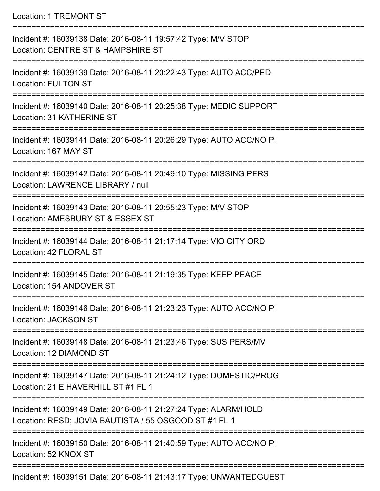Location: 1 TREMONT ST

| Incident #: 16039138 Date: 2016-08-11 19:57:42 Type: M/V STOP<br>Location: CENTRE ST & HAMPSHIRE ST                      |
|--------------------------------------------------------------------------------------------------------------------------|
| Incident #: 16039139 Date: 2016-08-11 20:22:43 Type: AUTO ACC/PED<br><b>Location: FULTON ST</b>                          |
| Incident #: 16039140 Date: 2016-08-11 20:25:38 Type: MEDIC SUPPORT<br>Location: 31 KATHERINE ST                          |
| Incident #: 16039141 Date: 2016-08-11 20:26:29 Type: AUTO ACC/NO PI<br>Location: 167 MAY ST                              |
| Incident #: 16039142 Date: 2016-08-11 20:49:10 Type: MISSING PERS<br>Location: LAWRENCE LIBRARY / null                   |
| Incident #: 16039143 Date: 2016-08-11 20:55:23 Type: M/V STOP<br>Location: AMESBURY ST & ESSEX ST                        |
| Incident #: 16039144 Date: 2016-08-11 21:17:14 Type: VIO CITY ORD<br>Location: 42 FLORAL ST                              |
| Incident #: 16039145 Date: 2016-08-11 21:19:35 Type: KEEP PEACE<br>Location: 154 ANDOVER ST                              |
| Incident #: 16039146 Date: 2016-08-11 21:23:23 Type: AUTO ACC/NO PI<br><b>Location: JACKSON ST</b>                       |
| Incident #: 16039148 Date: 2016-08-11 21:23:46 Type: SUS PERS/MV<br>Location: 12 DIAMOND ST                              |
| Incident #: 16039147 Date: 2016-08-11 21:24:12 Type: DOMESTIC/PROG<br>Location: 21 E HAVERHILL ST #1 FL 1                |
| Incident #: 16039149 Date: 2016-08-11 21:27:24 Type: ALARM/HOLD<br>Location: RESD; JOVIA BAUTISTA / 55 OSGOOD ST #1 FL 1 |
| Incident #: 16039150 Date: 2016-08-11 21:40:59 Type: AUTO ACC/NO PI<br>Location: 52 KNOX ST                              |
|                                                                                                                          |

Incident #: 16039151 Date: 2016-08-11 21:43:17 Type: UNWANTEDGUEST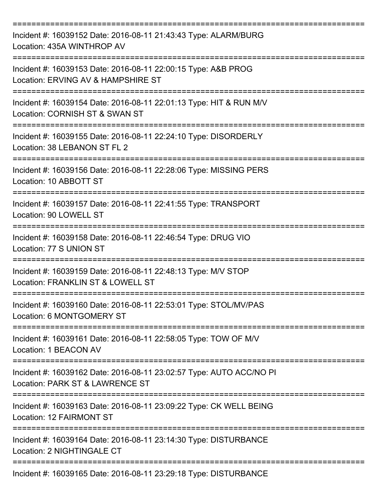| Incident #: 16039152 Date: 2016-08-11 21:43:43 Type: ALARM/BURG<br>Location: 435A WINTHROP AV<br>============<br>------------------- |
|--------------------------------------------------------------------------------------------------------------------------------------|
| Incident #: 16039153 Date: 2016-08-11 22:00:15 Type: A&B PROG<br>Location: ERVING AV & HAMPSHIRE ST                                  |
| Incident #: 16039154 Date: 2016-08-11 22:01:13 Type: HIT & RUN M/V<br>Location: CORNISH ST & SWAN ST                                 |
| Incident #: 16039155 Date: 2016-08-11 22:24:10 Type: DISORDERLY<br>Location: 38 LEBANON ST FL 2                                      |
| Incident #: 16039156 Date: 2016-08-11 22:28:06 Type: MISSING PERS<br>Location: 10 ABBOTT ST                                          |
| Incident #: 16039157 Date: 2016-08-11 22:41:55 Type: TRANSPORT<br>Location: 90 LOWELL ST                                             |
| Incident #: 16039158 Date: 2016-08-11 22:46:54 Type: DRUG VIO<br>Location: 77 S UNION ST                                             |
| Incident #: 16039159 Date: 2016-08-11 22:48:13 Type: M/V STOP<br>Location: FRANKLIN ST & LOWELL ST<br>---------------                |
| Incident #: 16039160 Date: 2016-08-11 22:53:01 Type: STOL/MV/PAS<br>Location: 6 MONTGOMERY ST                                        |
| Incident #: 16039161 Date: 2016-08-11 22:58:05 Type: TOW OF M/V<br>Location: 1 BEACON AV                                             |
| Incident #: 16039162 Date: 2016-08-11 23:02:57 Type: AUTO ACC/NO PI<br>Location: PARK ST & LAWRENCE ST                               |
| Incident #: 16039163 Date: 2016-08-11 23:09:22 Type: CK WELL BEING<br>Location: 12 FAIRMONT ST                                       |
| Incident #: 16039164 Date: 2016-08-11 23:14:30 Type: DISTURBANCE<br>Location: 2 NIGHTINGALE CT                                       |
| Incident #: 16039165 Date: 2016-08-11 23:29:18 Type: DISTURBANCE                                                                     |